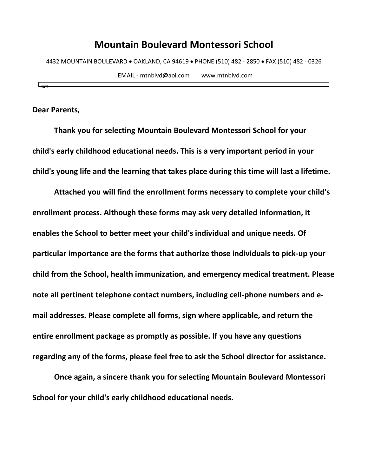4432 MOUNTAIN BOULEVARD • OAKLAND, CA 94619 • PHONE (510) 482 - 2850 • FAX (510) 482 - 0326

EMAIL - mtnblvd@aol.com www.mtnblvd.com

**Dear Parents,**

**Thank you for selecting Mountain Boulevard Montessori School for your child's early childhood educational needs. This is a very important period in your child's young life and the learning that takes place during this time will last a lifetime.** 

**Attached you will find the enrollment forms necessary to complete your child's enrollment process. Although these forms may ask very detailed information, it enables the School to better meet your child's individual and unique needs. Of particular importance are the forms that authorize those individuals to pick-up your child from the School, health immunization, and emergency medical treatment. Please note all pertinent telephone contact numbers, including cell-phone numbers and email addresses. Please complete all forms, sign where applicable, and return the entire enrollment package as promptly as possible. If you have any questions regarding any of the forms, please feel free to ask the School director for assistance.** 

**Once again, a sincere thank you for selecting Mountain Boulevard Montessori School for your child's early childhood educational needs.**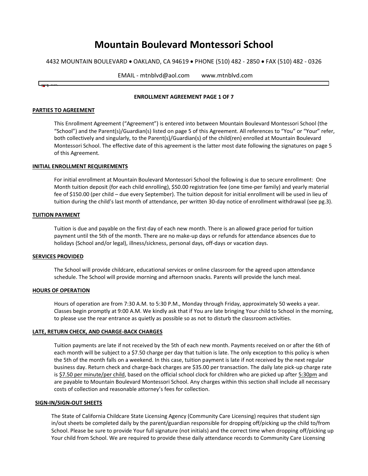4432 MOUNTAIN BOULEVARD • OAKLAND, CA 94619 • PHONE (510) 482 - 2850 • FAX (510) 482 - 0326

| $EMAIL \cdot$<br>- mtnblvd@aol.com | www.mtnblvd.com |
|------------------------------------|-----------------|
|                                    |                 |

#### **ENROLLMENT AGREEMENT PAGE 1 OF 7**

#### **PARTIES TO AGREEMENT**

This Enrollment Agreement ("Agreement") is entered into between Mountain Boulevard Montessori School (the "School") and the Parent(s)/Guardian(s) listed on page 5 of this Agreement. All references to "You" or "Your" refer, both collectively and singularly, to the Parent(s)/Guardian(s) of the child(ren) enrolled at Mountain Boulevard Montessori School. The effective date of this agreement is the latter most date following the signatures on page 5 of this Agreement.

#### **INITIAL ENROLLMENT REQUIREMENTS**

For initial enrollment at Mountain Boulevard Montessori School the following is due to secure enrollment: One Month tuition deposit (for each child enrolling), \$50.00 registration fee (one time-per family) and yearly material fee of \$150.00 (per child – due every September). The tuition deposit for initial enrollment will be used in lieu of tuition during the child's last month of attendance, per written 30-day notice of enrollment withdrawal (see pg.3).

#### **TUITION PAYMENT**

Tuition is due and payable on the first day of each new month. There is an allowed grace period for tuition payment until the 5th of the month. There are no make-up days or refunds for attendance absences due to holidays (School and/or legal), illness/sickness, personal days, off-days or vacation days.

#### **SERVICES PROVIDED**

The School will provide childcare, educational services or online classroom for the agreed upon attendance schedule. The School will provide morning and afternoon snacks. Parents will provide the lunch meal.

#### **HOURS OF OPERATION**

Hours of operation are from 7:30 A.M. to 5:30 P.M., Monday through Friday, approximately 50 weeks a year. Classes begin promptly at 9:00 A.M. We kindly ask that if You are late bringing Your child to School in the morning, to please use the rear entrance as quietly as possible so as not to disturb the classroom activities.

#### **LATE, RETURN CHECK, AND CHARGE-BACK CHARGES**

Tuition payments are late if not received by the 5th of each new month. Payments received on or after the 6th of each month will be subject to a \$7.50 charge per day that tuition is late. The only exception to this policy is when the 5th of the month falls on a weekend. In this case, tuition payment is late if not received by the next regular business day. Return check and charge-back charges are \$35.00 per transaction. The daily late pick-up charge rate is \$7.50 per minute/per child, based on the official school clock for children who are picked up after 5:30pm and are payable to Mountain Boulevard Montessori School. Any charges within this section shall include all necessary costs of collection and reasonable attorney's fees for collection.

#### **SIGN-IN/SIGN-OUT SHEETS**

The State of California Childcare State Licensing Agency (Community Care Licensing) requires that student sign in/out sheets be completed daily by the parent/guardian responsible for dropping off/picking up the child to/from School. Please be sure to provide Your full signature (not initials) and the correct time when dropping off/picking up Your child from School. We are required to provide these daily attendance records to Community Care Licensing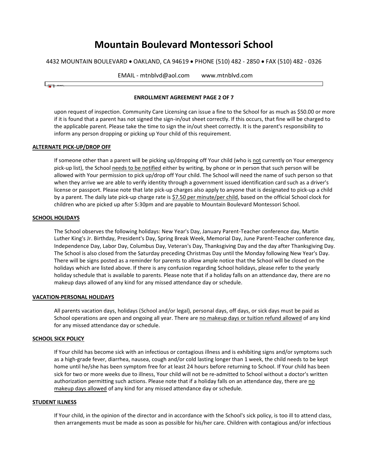4432 MOUNTAIN BOULEVARD • OAKLAND, CA 94619 • PHONE (510) 482 - 2850 • FAX (510) 482 - 0326

| EMAIL - mtnblvd@aol.com | www.mtnblvd.com |  |
|-------------------------|-----------------|--|
|                         |                 |  |

#### **ENROLLMENT AGREEMENT PAGE 2 OF 7**

upon request of inspection. Community Care Licensing can issue a fine to the School for as much as \$50.00 or more if it is found that a parent has not signed the sign-in/out sheet correctly. If this occurs, that fine will be charged to the applicable parent. Please take the time to sign the in/out sheet correctly. It is the parent's responsibility to inform any person dropping or picking up Your child of this requirement.

#### **ALTERNATE PICK-UP/DROP OFF**

If someone other than a parent will be picking up/dropping off Your child (who is not currently on Your emergency pick-up list), the School needs to be notified either by writing, by phone or in person that such person will be allowed with Your permission to pick up/drop off Your child. The School will need the name of such person so that when they arrive we are able to verify identity through a government issued identification card such as a driver's license or passport. Please note that late pick-up charges also apply to anyone that is designated to pick-up a child by a parent. The daily late pick-up charge rate is \$7.50 per minute/per child, based on the official School clock for children who are picked up after 5:30pm and are payable to Mountain Boulevard Montessori School.

#### **SCHOOL HOLIDAYS**

The School observes the following holidays: New Year's Day, January Parent-Teacher conference day, Martin Luther King's Jr. Birthday, President's Day, Spring Break Week, Memorial Day, June Parent-Teacher conference day, Independence Day, Labor Day, Columbus Day, Veteran's Day, Thanksgiving Day and the day after Thanksgiving Day. The School is also closed from the Saturday preceding Christmas Day until the Monday following New Year's Day. There will be signs posted as a reminder for parents to allow ample notice that the School will be closed on the holidays which are listed above. If there is any confusion regarding School holidays, please refer to the yearly holiday schedule that is available to parents. Please note that if a holiday falls on an attendance day, there are no makeup days allowed of any kind for any missed attendance day or schedule.

#### **VACATION-PERSONAL HOLIDAYS**

All parents vacation days, holidays (School and/or legal), personal days, off days, or sick days must be paid as School operations are open and ongoing all year. There are no makeup days or tuition refund allowed of any kind for any missed attendance day or schedule.

#### **SCHOOL SICK POLICY**

If Your child has become sick with an infectious or contagious illness and is exhibiting signs and/or symptoms such as a high-grade fever, diarrhea, nausea, cough and/or cold lasting longer than 1 week, the child needs to be kept home until he/she has been symptom free for at least 24 hours before returning to School. If Your child has been sick for two or more weeks due to illness, Your child will not be re-admitted to School without a doctor's written authorization permitting such actions. Please note that if a holiday falls on an attendance day, there are no makeup days allowed of any kind for any missed attendance day or schedule.

#### **STUDENT ILLNESS**

If Your child, in the opinion of the director and in accordance with the School's sick policy, is too ill to attend class, then arrangements must be made as soon as possible for his/her care. Children with contagious and/or infectious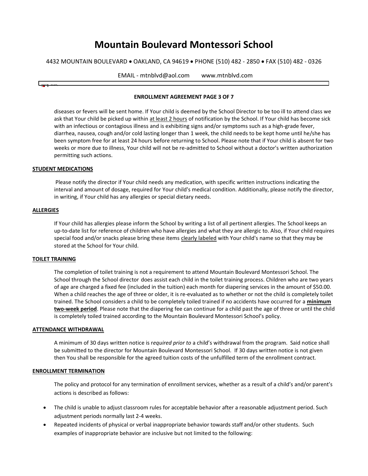4432 MOUNTAIN BOULEVARD • OAKLAND, CA 94619 • PHONE (510) 482 - 2850 • FAX (510) 482 - 0326

| EMAIL - mtnblvd@aol.com | www.mtnblvd.com |  |
|-------------------------|-----------------|--|
|                         |                 |  |

#### **ENROLLMENT AGREEMENT PAGE 3 OF 7**

diseases or fevers will be sent home. If Your child is deemed by the School Director to be too ill to attend class we ask that Your child be picked up within at least 2 hours of notification by the School. If Your child has become sick with an infectious or contagious illness and is exhibiting signs and/or symptoms such as a high-grade fever, diarrhea, nausea, cough and/or cold lasting longer than 1 week, the child needs to be kept home until he/she has been symptom free for at least 24 hours before returning to School. Please note that if Your child is absent for two weeks or more due to illness, Your child will not be re-admitted to School without a doctor's written authorization permitting such actions.

#### **STUDENT MEDICATIONS**

Please notify the director if Your child needs any medication, with specific written instructions indicating the interval and amount of dosage, required for Your child's medical condition. Additionally, please notify the director, in writing, if Your child has any allergies or special dietary needs.

#### **ALLERGIES**

If Your child has allergies please inform the School by writing a list of all pertinent allergies. The School keeps an up-to-date list for reference of children who have allergies and what they are allergic to. Also, if Your child requires special food and/or snacks please bring these items clearly labeled with Your child's name so that they may be stored at the School for Your child.

#### **TOILET TRAINING**

The completion of toilet training is not a requirement to attend Mountain Boulevard Montessori School. The School through the School director does assist each child in the toilet training process. Children who are two years of age are charged a fixed fee (included in the tuition) each month for diapering services in the amount of \$50.00. When a child reaches the age of three or older, it is re-evaluated as to whether or not the child is completely toilet trained. The School considers a child to be completely toiled trained if no accidents have occurred for a **minimum two-week period**. Please note that the diapering fee can continue for a child past the age of three or until the child is completely toiled trained according to the Mountain Boulevard Montessori School's policy.

#### **ATTENDANCE WITHDRAWAL**

A minimum of 30 days written notice is r*equired prior to* a child's withdrawal from the program. Said notice shall be submitted to the director for Mountain Boulevard Montessori School. If 30 days written notice is not given then You shall be responsible for the agreed tuition costs of the unfulfilled term of the enrollment contract.

#### **ENROLLMENT TERMINATION**

The policy and protocol for any termination of enrollment services, whether as a result of a child's and/or parent's actions is described as follows:

- The child is unable to adjust classroom rules for acceptable behavior after a reasonable adjustment period. Such adjustment periods normally last 2-4 weeks.
- Repeated incidents of physical or verbal inappropriate behavior towards staff and/or other students. Such examples of inappropriate behavior are inclusive but not limited to the following: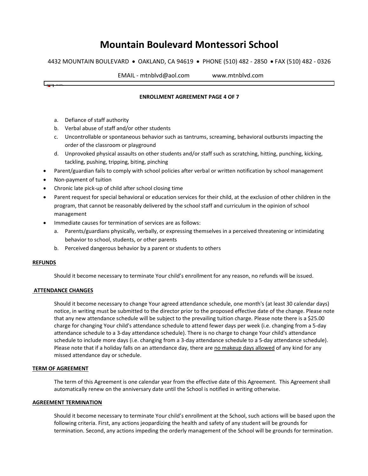4432 MOUNTAIN BOULEVARD • OAKLAND, CA 94619 • PHONE (510) 482 - 2850 • FAX (510) 482 - 0326

┓

|                                                                                                                                                                                                                                                                                                                                                                                                                                   | <b>EMAIL</b><br>mtnblvd@aol.com | www.mtnblvd.com |
|-----------------------------------------------------------------------------------------------------------------------------------------------------------------------------------------------------------------------------------------------------------------------------------------------------------------------------------------------------------------------------------------------------------------------------------|---------------------------------|-----------------|
| $\overline{ }$ $\overline{ }$ $\overline{ }$ $\overline{ }$ $\overline{ }$ $\overline{ }$ $\overline{ }$ $\overline{ }$ $\overline{ }$ $\overline{ }$ $\overline{ }$ $\overline{ }$ $\overline{ }$ $\overline{ }$ $\overline{ }$ $\overline{ }$ $\overline{ }$ $\overline{ }$ $\overline{ }$ $\overline{ }$ $\overline{ }$ $\overline{ }$ $\overline{ }$ $\overline{ }$ $\overline{ }$ $\overline{ }$ $\overline{ }$ $\overline{$ |                                 |                 |

#### **ENROLLMENT AGREEMENT PAGE 4 OF 7**

- a. Defiance of staff authority
- b. Verbal abuse of staff and/or other students
- c. Uncontrollable or spontaneous behavior such as tantrums, screaming, behavioral outbursts impacting the order of the classroom or playground
- d. Unprovoked physical assaults on other students and/or staff such as scratching, hitting, punching, kicking, tackling, pushing, tripping, biting, pinching
- Parent/guardian fails to comply with school policies after verbal or written notification by school management
- Non-payment of tuition
- Chronic late pick-up of child after school closing time
- Parent request for special behavioral or education services for their child, at the exclusion of other children in the program, that cannot be reasonably delivered by the school staff and curriculum in the opinion of school management
- Immediate causes for termination of services are as follows:
	- a. Parents/guardians physically, verbally, or expressing themselves in a perceived threatening or intimidating behavior to school, students, or other parents
	- b. Perceived dangerous behavior by a parent or students to others

#### **REFUNDS**

Should it become necessary to terminate Your child's enrollment for any reason, no refunds will be issued.

#### **ATTENDANCE CHANGES**

Should it become necessary to change Your agreed attendance schedule, one month's (at least 30 calendar days) notice, in writing must be submitted to the director prior to the proposed effective date of the change. Please note that any new attendance schedule will be subject to the prevailing tuition charge. Please note there is a \$25.00 charge for changing Your child's attendance schedule to attend fewer days per week (i.e. changing from a 5-day attendance schedule to a 3-day attendance schedule). There is no charge to change Your child's attendance schedule to include more days (i.e. changing from a 3-day attendance schedule to a 5-day attendance schedule). Please note that if a holiday falls on an attendance day, there are no makeup days allowed of any kind for any missed attendance day or schedule.

#### **TERM OF AGREEMENT**

The term of this Agreement is one calendar year from the effective date of this Agreement. This Agreement shall automatically renew on the anniversary date until the School is notified in writing otherwise.

#### **AGREEMENT TERMINATION**

Should it become necessary to terminate Your child's enrollment at the School, such actions will be based upon the following criteria. First, any actions jeopardizing the health and safety of any student will be grounds for termination. Second, any actions impeding the orderly management of the School will be grounds for termination.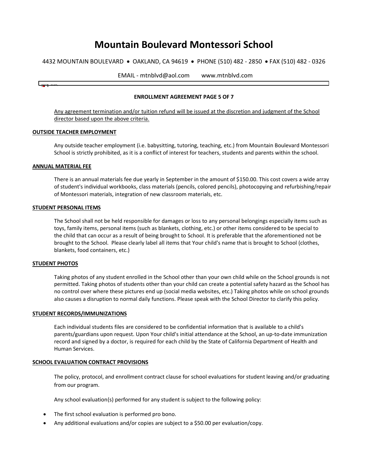4432 MOUNTAIN BOULEVARD • OAKLAND, CA 94619 • PHONE (510) 482 - 2850 • FAX (510) 482 - 0326

EMAIL - mtnblvd@aol.com www.mtnblvd.com

#### **ENROLLMENT AGREEMENT PAGE 5 OF 7**

Any agreement termination and/or tuition refund will be issued at the discretion and judgment of the School director based upon the above criteria.

#### **OUTSIDE TEACHER EMPLOYMENT**

Any outside teacher employment (i.e. babysitting, tutoring, teaching, etc.) from Mountain Boulevard Montessori School is strictly prohibited, as it is a conflict of interest for teachers, students and parents within the school.

#### **ANNUAL MATERIAL FEE**

حصا

There is an annual materials fee due yearly in September in the amount of \$150.00. This cost covers a wide array of student's individual workbooks, class materials (pencils, colored pencils), photocopying and refurbishing/repair of Montessori materials, integration of new classroom materials, etc.

#### **STUDENT PERSONAL ITEMS**

The School shall not be held responsible for damages or loss to any personal belongings especially items such as toys, family items, personal items (such as blankets, clothing, etc.) or other items considered to be special to the child that can occur as a result of being brought to School. It is preferable that the aforementioned not be brought to the School. Please clearly label all items that Your child's name that is brought to School (clothes, blankets, food containers, etc.)

#### **STUDENT PHOTOS**

Taking photos of any student enrolled in the School other than your own child while on the School grounds is not permitted. Taking photos of students other than your child can create a potential safety hazard as the School has no control over where these pictures end up (social media websites, etc.) Taking photos while on school grounds also causes a disruption to normal daily functions. Please speak with the School Director to clarify this policy.

#### **STUDENT RECORDS/IMMUNIZATIONS**

Each individual students files are considered to be confidential information that is available to a child's parents/guardians upon request. Upon Your child's initial attendance at the School, an up-to-date immunization record and signed by a doctor, is required for each child by the State of California Department of Health and Human Services.

#### **SCHOOL EVALUATION CONTRACT PROVISIONS**

The policy, protocol, and enrollment contract clause for school evaluations for student leaving and/or graduating from our program.

Any school evaluation(s) performed for any student is subject to the following policy:

- The first school evaluation is performed pro bono.
- Any additional evaluations and/or copies are subject to a \$50.00 per evaluation/copy.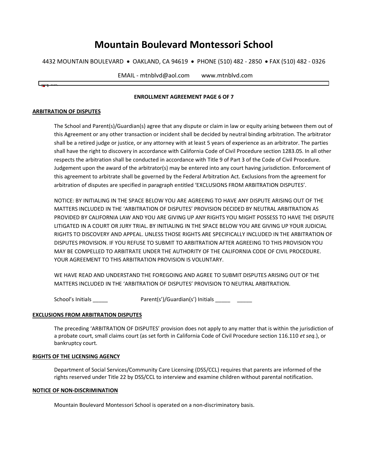4432 MOUNTAIN BOULEVARD • OAKLAND, CA 94619 • PHONE (510) 482 - 2850 • FAX (510) 482 - 0326

| EMAIL<br>mtnblvd@aol.com · | www.mtnblvd.com |  |
|----------------------------|-----------------|--|
|                            |                 |  |

#### **ENROLLMENT AGREEMENT PAGE 6 OF 7**

#### **ARBITRATION OF DISPUTES**

The School and Parent(s)/Guardian(s) agree that any dispute or claim in law or equity arising between them out of this Agreement or any other transaction or incident shall be decided by neutral binding arbitration. The arbitrator shall be a retired judge or justice, or any attorney with at least 5 years of experience as an arbitrator. The parties shall have the right to discovery in accordance with California Code of Civil Procedure section 1283.05. In all other respects the arbitration shall be conducted in accordance with Title 9 of Part 3 of the Code of Civil Procedure. Judgement upon the award of the arbitrator(s) may be entered into any court having jurisdiction. Enforcement of this agreement to arbitrate shall be governed by the Federal Arbitration Act. Exclusions from the agreement for arbitration of disputes are specified in paragraph entitled 'EXCLUSIONS FROM ARBITRATION DISPUTES'.

NOTICE: BY INITIALING IN THE SPACE BELOW YOU ARE AGREEING TO HAVE ANY DISPUTE ARISING OUT OF THE MATTERS INCLUDED IN THE 'ARBITRATION OF DISPUTES' PROVISION DECIDED BY NEUTRAL ARBITRATION AS PROVIDED BY CALIFORNIA LAW AND YOU ARE GIVING UP ANY RIGHTS YOU MIGHT POSSESS TO HAVE THE DISPUTE LITIGATED IN A COURT OR JURY TRIAL. BY INITIALING IN THE SPACE BELOW YOU ARE GIVING UP YOUR JUDICIAL RIGHTS TO DISCOVERY AND APPEAL. UNLESS THOSE RIGHTS ARE SPECIFICALLY INCLUDED IN THE ARBITRATION OF DISPUTES PROVISION. IF YOU REFUSE TO SUBMIT TO ARBITRATION AFTER AGREEING TO THIS PROVISION YOU MAY BE COMPELLED TO ARBITRATE UNDER THE AUTHORITY OF THE CALIFORNIA CODE OF CIVIL PROCEDURE. YOUR AGREEMENT TO THIS ARBITRATION PROVISION IS VOLUNTARY.

WE HAVE READ AND UNDERSTAND THE FOREGOING AND AGREE TO SUBMIT DISPUTES ARISING OUT OF THE MATTERS INCLUDED IN THE 'ARBITRATION OF DISPUTES' PROVISION TO NEUTRAL ARBITRATION.

School's Initials \_\_\_\_\_\_ Parent(s')/Guardian(s') Initials \_\_\_\_\_ \_\_\_\_\_\_

#### **EXCLUSIONS FROM ARBITRATION DISPUTES**

The preceding 'ARBITRATION OF DISPUTES' provision does not apply to any matter that is within the jurisdiction of a probate court, small claims court (as set forth in California Code of Civil Procedure section 116.110 *et seq.*), or bankruptcy court.

#### **RIGHTS OF THE LICENSING AGENCY**

Department of Social Services/Community Care Licensing (DSS/CCL) requires that parents are informed of the rights reserved under Title 22 by DSS/CCL to interview and examine children without parental notification.

#### **NOTICE OF NON-DISCRIMINATION**

Mountain Boulevard Montessori School is operated on a non-discriminatory basis.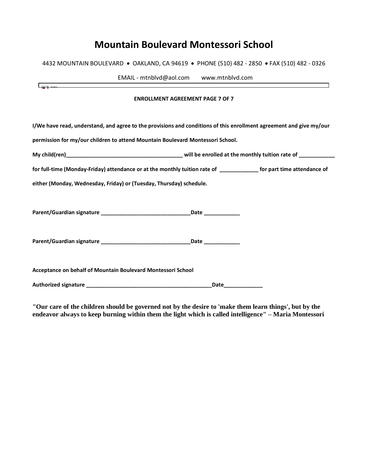4432 MOUNTAIN BOULEVARD • OAKLAND, CA 94619 • PHONE (510) 482 - 2850 • FAX (510) 482 - 0326

| the control of the control of the control of the control of the control of the control of the control of the control of the control of the control of the control of the control of the control of the control of the control | EMAIL - mtnblvd@aol.com www.mtnblvd.com |  |
|-------------------------------------------------------------------------------------------------------------------------------------------------------------------------------------------------------------------------------|-----------------------------------------|--|
|                                                                                                                                                                                                                               | <b>ENROLLMENT AGREEMENT PAGE 7 OF 7</b> |  |
| I/We have read, understand, and agree to the provisions and conditions of this enrollment agreement and give my/our                                                                                                           |                                         |  |
| permission for my/our children to attend Mountain Boulevard Montessori School.                                                                                                                                                |                                         |  |
|                                                                                                                                                                                                                               |                                         |  |
| for full-time (Monday-Friday) attendance or at the monthly tuition rate of _______________ for part time attendance of                                                                                                        |                                         |  |
| either (Monday, Wednesday, Friday) or (Tuesday, Thursday) schedule.                                                                                                                                                           |                                         |  |
|                                                                                                                                                                                                                               |                                         |  |
|                                                                                                                                                                                                                               |                                         |  |
|                                                                                                                                                                                                                               |                                         |  |
|                                                                                                                                                                                                                               |                                         |  |
|                                                                                                                                                                                                                               |                                         |  |
| Acceptance on behalf of Mountain Boulevard Montessori School                                                                                                                                                                  |                                         |  |
|                                                                                                                                                                                                                               | Date                                    |  |

**"Our care of the children should be governed not by the desire to 'make them learn things', but by the endeavor always to keep burning within them the light which is called intelligence" – Maria Montessori**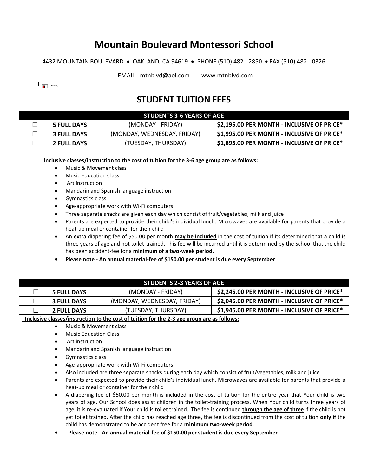4432 MOUNTAIN BOULEVARD • OAKLAND, CA 94619 • PHONE (510) 482 - 2850 • FAX (510) 482 - 0326

EMAIL - mtnblvd@aol.com www.mtnblvd.com

# **STUDENT TUITION FEES**

| <b>STUDENTS 3-6 YEARS OF AGE</b> |                    |                             |                                            |
|----------------------------------|--------------------|-----------------------------|--------------------------------------------|
|                                  | <b>5 FULL DAYS</b> | (MONDAY - FRIDAY)           | \$2,195.00 PER MONTH - INCLUSIVE OF PRICE* |
|                                  | <b>3 FULL DAYS</b> | (MONDAY, WEDNESDAY, FRIDAY) | \$1,995.00 PER MONTH - INCLUSIVE OF PRICE* |
|                                  | <b>2 FULL DAYS</b> | (TUESDAY, THURSDAY)         | \$1,895.00 PER MONTH - INCLUSIVE OF PRICE* |
|                                  |                    |                             |                                            |

**Inclusive classes/instruction to the cost of tuition for the 3-6 age group are as follows:** 

- Music & Movement class
- Music Education Class
- Art instruction

سبصا

- Mandarin and Spanish language instruction
- Gymnastics class
- Age-appropriate work with Wi-Fi computers
- Three separate snacks are given each day which consist of fruit/vegetables, milk and juice
- Parents are expected to provide their child's individual lunch. Microwaves are available for parents that provide a heat-up meal or container for their child
- An extra diapering fee of \$50.00 per month **may be included** in the cost of tuition if its determined that a child is three years of age and not toilet-trained. This fee will be incurred until it is determined by the School that the child has been accident-fee for a **minimum of a two-week period**.
- **Please note - An annual material-fee of \$150.00 per student is due every September**

|                         | <b>STUDENTS 2-3 YEARS OF AGE</b>                                                                                                 |                                                                                            |                                                                                                                    |  |
|-------------------------|----------------------------------------------------------------------------------------------------------------------------------|--------------------------------------------------------------------------------------------|--------------------------------------------------------------------------------------------------------------------|--|
| <b>5 FULL DAYS</b><br>П |                                                                                                                                  | (MONDAY - FRIDAY)                                                                          | \$2,245.00 PER MONTH - INCLUSIVE OF PRICE*                                                                         |  |
| П                       | <b>3 FULL DAYS</b>                                                                                                               | (MONDAY, WEDNESDAY, FRIDAY)                                                                | \$2,045.00 PER MONTH - INCLUSIVE OF PRICE*                                                                         |  |
| П                       | <b>2 FULL DAYS</b>                                                                                                               | (TUESDAY, THURSDAY)                                                                        | \$1,945.00 PER MONTH - INCLUSIVE OF PRICE*                                                                         |  |
|                         |                                                                                                                                  | Inclusive classes/instruction to the cost of tuition for the 2-3 age group are as follows: |                                                                                                                    |  |
|                         | Music & Movement class<br>$\bullet$                                                                                              |                                                                                            |                                                                                                                    |  |
|                         | <b>Music Education Class</b><br>$\bullet$                                                                                        |                                                                                            |                                                                                                                    |  |
|                         | Art instruction<br>$\bullet$                                                                                                     |                                                                                            |                                                                                                                    |  |
|                         | $\bullet$                                                                                                                        | Mandarin and Spanish language instruction                                                  |                                                                                                                    |  |
|                         | Gymnastics class<br>$\bullet$                                                                                                    |                                                                                            |                                                                                                                    |  |
|                         | Age-appropriate work with Wi-Fi computers<br>$\bullet$                                                                           |                                                                                            |                                                                                                                    |  |
|                         | Also included are three separate snacks during each day which consist of fruit/vegetables, milk and juice<br>$\bullet$           |                                                                                            |                                                                                                                    |  |
|                         | Parents are expected to provide their child's individual lunch. Microwaves are available for parents that provide a<br>$\bullet$ |                                                                                            |                                                                                                                    |  |
|                         |                                                                                                                                  | heat-up meal or container for their child                                                  |                                                                                                                    |  |
|                         | A diapering fee of \$50.00 per month is included in the cost of tuition for the entire year that Your child is two<br>$\bullet$  |                                                                                            |                                                                                                                    |  |
|                         |                                                                                                                                  |                                                                                            | years of age. Our School does assist children in the toilet-training process. When Your child turns three years of |  |
|                         | age, it is re-evaluated if Your child is toilet trained. The fee is continued through the age of three if the child is not       |                                                                                            |                                                                                                                    |  |
|                         | yet toilet trained. After the child has reached age three, the fee is discontinued from the cost of tuition only if the          |                                                                                            |                                                                                                                    |  |
|                         |                                                                                                                                  | child has demonstrated to be accident free for a minimum two-week period.                  |                                                                                                                    |  |
|                         |                                                                                                                                  | Please note - An annual material-fee of \$150.00 per student is due every September        |                                                                                                                    |  |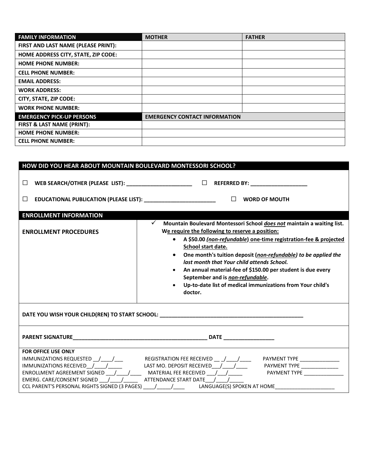| <b>FAMILY INFORMATION</b>             | <b>MOTHER</b>                        | <b>FATHER</b> |
|---------------------------------------|--------------------------------------|---------------|
| FIRST AND LAST NAME (PLEASE PRINT):   |                                      |               |
| HOME ADDRESS CITY, STATE, ZIP CODE:   |                                      |               |
| <b>HOME PHONE NUMBER:</b>             |                                      |               |
| <b>CELL PHONE NUMBER:</b>             |                                      |               |
| <b>EMAIL ADDRESS:</b>                 |                                      |               |
| <b>WORK ADDRESS:</b>                  |                                      |               |
| CITY, STATE, ZIP CODE:                |                                      |               |
| <b>WORK PHONE NUMBER:</b>             |                                      |               |
| <b>EMERGENCY PICK-UP PERSONS</b>      | <b>EMERGENCY CONTACT INFORMATION</b> |               |
| <b>FIRST &amp; LAST NAME (PRINT):</b> |                                      |               |
| <b>HOME PHONE NUMBER:</b>             |                                      |               |
| <b>CELL PHONE NUMBER:</b>             |                                      |               |

| HOW DID YOU HEAR ABOUT MOUNTAIN BOULEVARD MONTESSORI SCHOOL?                                                                                                                                                                                                                                                                                                                                                                                                                                                                                                                                         |                                                                                                                                                                                                 |  |  |
|------------------------------------------------------------------------------------------------------------------------------------------------------------------------------------------------------------------------------------------------------------------------------------------------------------------------------------------------------------------------------------------------------------------------------------------------------------------------------------------------------------------------------------------------------------------------------------------------------|-------------------------------------------------------------------------------------------------------------------------------------------------------------------------------------------------|--|--|
| $\Box$<br>$\Box$                                                                                                                                                                                                                                                                                                                                                                                                                                                                                                                                                                                     | WEB SEARCH/OTHER (PLEASE LIST): _________________________ $\Box$ REFERRED BY: ____________________<br>EDUCATIONAL PUBLICATION (PLEASE LIST): _____________________________ $\Box$ WORD OF MOUTH |  |  |
| <b>ENROLLMENT INFORMATION</b><br>$\checkmark$<br>Mountain Boulevard Montessori School does not maintain a waiting list.<br>We require the following to reserve a position:<br><b>ENROLLMENT PROCEDURES</b><br>• A \$50.00 (non-refundable) one-time registration-fee & projected<br>School start date.<br>• One month's tuition deposit (non-refundable) to be applied the<br>last month that Your child attends School.<br>An annual material-fee of \$150.00 per student is due every<br>September and is non-refundable.<br>Up-to-date list of medical immunizations from Your child's<br>doctor. |                                                                                                                                                                                                 |  |  |
|                                                                                                                                                                                                                                                                                                                                                                                                                                                                                                                                                                                                      |                                                                                                                                                                                                 |  |  |
|                                                                                                                                                                                                                                                                                                                                                                                                                                                                                                                                                                                                      |                                                                                                                                                                                                 |  |  |
| <b>FOR OFFICE USE ONLY</b><br>REGISTRATION FEE RECEIVED $\_$ / ____/ _____<br>PAYMENT TYPE ________________<br>IMMUNIZATIONS RECEIVED / / / LAST MO. DEPOSIT RECEIVED / / /<br>PAYMENT TYPE _____________<br>ENROLLMENT AGREEMENT SIGNED _______________________MATERIAL FEE RECEIVED ___________________________<br>PAYMENT TYPE<br>EMERG. CARE/CONSENT SIGNED / / ATTENDANCE START DATE / /<br>CCL PARENT'S PERSONAL RIGHTS SIGNED (3 PAGES) ____/_____/______ LANGUAGE(S) SPOKEN AT HOME ____________________                                                                                     |                                                                                                                                                                                                 |  |  |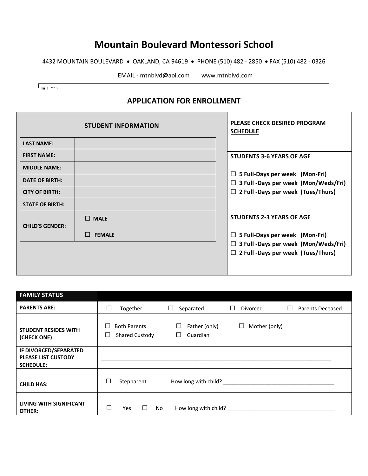4432 MOUNTAIN BOULEVARD • OAKLAND, CA 94619 • PHONE (510) 482 - 2850 • FAX (510) 482 - 0326

EMAIL - mtnblvd@aol.com www.mtnblvd.com

٦

 $\begin{array}{|c|c|} \hline \rule{0.2cm}{0.2cm} \rule{0.2cm}{0.2cm} \rule{0.2cm}{0.2cm} \rule{0.2cm}{0.2cm} \rule{0.2cm}{0.2cm} \rule{0.2cm}{0.2cm} \rule{0.2cm}{0.2cm} \rule{0.2cm}{0.2cm} \rule{0.2cm}{0.2cm} \rule{0.2cm}{0.2cm} \rule{0.2cm}{0.2cm} \rule{0.2cm}{0.2cm} \rule{0.2cm}{0.2cm} \rule{0.2cm}{0.2cm} \rule{0.2cm}{0.2cm} \rule{0.2cm}{0.2$ 

## **APPLICATION FOR ENROLLMENT**

|                                                                                                 | <b>STUDENT INFORMATION</b>             | PLEASE CHECK DESIRED PROGRAM<br><b>SCHEDULE</b>                                                                                                                       |
|-------------------------------------------------------------------------------------------------|----------------------------------------|-----------------------------------------------------------------------------------------------------------------------------------------------------------------------|
| <b>LAST NAME:</b>                                                                               |                                        |                                                                                                                                                                       |
| <b>FIRST NAME:</b>                                                                              |                                        | <b>STUDENTS 3-6 YEARS OF AGE</b>                                                                                                                                      |
| <b>MIDDLE NAME:</b><br><b>DATE OF BIRTH:</b><br><b>CITY OF BIRTH:</b><br><b>STATE OF BIRTH:</b> |                                        | $\Box$ 5 Full-Days per week (Mon-Fri)<br>$\Box$ 3 Full -Days per week (Mon/Weds/Fri)<br>$\Box$ 2 Full -Days per week (Tues/Thurs)                                     |
| <b>CHILD'S GENDER:</b>                                                                          | $\Box$ MALE<br>$\Box$<br><b>FEMALE</b> | <b>STUDENTS 2-3 YEARS OF AGE</b><br>$\Box$ 5 Full-Days per week (Mon-Fri)<br>$\Box$ 3 Full -Days per week (Mon/Weds/Fri)<br>$\Box$ 2 Full -Days per week (Tues/Thurs) |

| <b>FAMILY STATUS</b>                                                    |                                                             |                                     |                                                     |
|-------------------------------------------------------------------------|-------------------------------------------------------------|-------------------------------------|-----------------------------------------------------|
| <b>PARENTS ARE:</b>                                                     | $\Box$<br>Together                                          | Separated<br>ப                      | <b>Divorced</b><br>Parents Deceased<br>$\mathbf{L}$ |
| <b>STUDENT RESIDES WITH</b><br>(CHECK ONE):                             | <b>Both Parents</b><br>$\Box$<br><b>Shared Custody</b><br>⊔ | $\Box$<br>Father (only)<br>Guardian | Mother (only)<br>ப                                  |
| IF DIVORCED/SEPARATED<br><b>PLEASE LIST CUSTODY</b><br><b>SCHEDULE:</b> |                                                             |                                     |                                                     |
| <b>CHILD HAS:</b>                                                       | $\Box$<br>Stepparent                                        |                                     | How long with child?                                |
| <b>LIVING WITH SIGNIFICANT</b><br>OTHER:                                | Г<br>No<br>Yes<br>⊔                                         | How long with child?                |                                                     |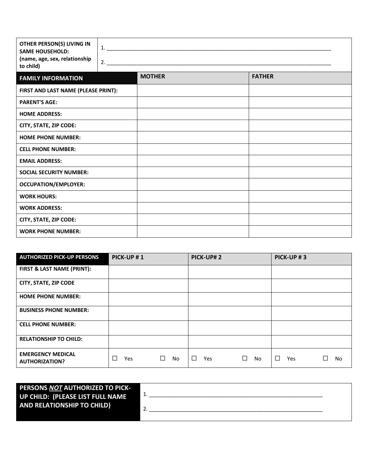| OTHER PERSON(S) LIVING IN<br><b>SAME HOUSEHOLD:</b><br>(name, age, sex, relationship<br>to child) | 1.<br>2. |               |               |  |  |  |  |
|---------------------------------------------------------------------------------------------------|----------|---------------|---------------|--|--|--|--|
| <b>FAMILY INFORMATION</b>                                                                         |          | <b>MOTHER</b> | <b>FATHER</b> |  |  |  |  |
| FIRST AND LAST NAME (PLEASE PRINT):                                                               |          |               |               |  |  |  |  |
| <b>PARENT'S AGE:</b>                                                                              |          |               |               |  |  |  |  |
| <b>HOME ADDRESS:</b>                                                                              |          |               |               |  |  |  |  |
| CITY, STATE, ZIP CODE:                                                                            |          |               |               |  |  |  |  |
| <b>HOME PHONE NUMBER:</b>                                                                         |          |               |               |  |  |  |  |
| <b>CELL PHONE NUMBER:</b>                                                                         |          |               |               |  |  |  |  |
| <b>EMAIL ADDRESS:</b>                                                                             |          |               |               |  |  |  |  |
| <b>SOCIAL SECURITY NUMBER:</b>                                                                    |          |               |               |  |  |  |  |
| <b>OCCUPATION/EMPLOYER:</b>                                                                       |          |               |               |  |  |  |  |
| <b>WORK HOURS:</b>                                                                                |          |               |               |  |  |  |  |
| <b>WORK ADDRESS:</b>                                                                              |          |               |               |  |  |  |  |
| CITY, STATE, ZIP CODE:                                                                            |          |               |               |  |  |  |  |
| <b>WORK PHONE NUMBER:</b>                                                                         |          |               |               |  |  |  |  |

| <b>AUTHORIZED PICK-UP PERSONS</b>                 | PICK-UP#1 |                     | PICK-UP#2 |              | PICK-UP#3            |           |
|---------------------------------------------------|-----------|---------------------|-----------|--------------|----------------------|-----------|
| FIRST & LAST NAME (PRINT):                        |           |                     |           |              |                      |           |
| CITY, STATE, ZIP CODE                             |           |                     |           |              |                      |           |
| <b>HOME PHONE NUMBER:</b>                         |           |                     |           |              |                      |           |
| <b>BUSINESS PHONE NUMBER:</b>                     |           |                     |           |              |                      |           |
| <b>CELL PHONE NUMBER:</b>                         |           |                     |           |              |                      |           |
| <b>RELATIONSHIP TO CHILD:</b>                     |           |                     |           |              |                      |           |
| <b>EMERGENCY MEDICAL</b><br><b>AUTHORIZATION?</b> | □<br>Yes  | <b>No</b><br>$\Box$ | П<br>Yes  | $\Box$<br>No | $\Box$<br><b>Yes</b> | <b>No</b> |

| <b>PERSONS NOT AUTHORIZED TO PICK-</b><br>UP CHILD: (PLEASE LIST FULL NAME<br><b>AND RELATIONSHIP TO CHILD)</b> |  |
|-----------------------------------------------------------------------------------------------------------------|--|
|-----------------------------------------------------------------------------------------------------------------|--|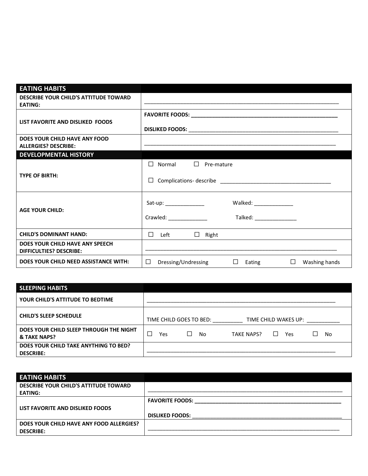| <b>EATING HABITS</b>                                              |                                                                     |  |  |  |  |  |
|-------------------------------------------------------------------|---------------------------------------------------------------------|--|--|--|--|--|
| <b>DESCRIBE YOUR CHILD'S ATTITUDE TOWARD</b>                      |                                                                     |  |  |  |  |  |
| <b>EATING:</b>                                                    |                                                                     |  |  |  |  |  |
|                                                                   |                                                                     |  |  |  |  |  |
| LIST FAVORITE AND DISLIKED FOODS                                  |                                                                     |  |  |  |  |  |
|                                                                   |                                                                     |  |  |  |  |  |
| DOES YOUR CHILD HAVE ANY FOOD                                     |                                                                     |  |  |  |  |  |
| <b>ALLERGIES? DESCRIBE:</b>                                       |                                                                     |  |  |  |  |  |
| <b>DEVELOPMENTAL HISTORY</b>                                      |                                                                     |  |  |  |  |  |
|                                                                   | $\Box$ Normal $\Box$ Pre-mature                                     |  |  |  |  |  |
| <b>TYPE OF BIRTH:</b>                                             |                                                                     |  |  |  |  |  |
|                                                                   | $\Box$                                                              |  |  |  |  |  |
|                                                                   |                                                                     |  |  |  |  |  |
|                                                                   | Sat-up: ________________<br>Walked: _________________               |  |  |  |  |  |
| <b>AGE YOUR CHILD:</b>                                            |                                                                     |  |  |  |  |  |
|                                                                   | Crawled: The Crawled:<br>Talked: _________________                  |  |  |  |  |  |
|                                                                   |                                                                     |  |  |  |  |  |
| <b>CHILD'S DOMINANT HAND:</b>                                     | $\Box$ Left<br>$\Box$ Right                                         |  |  |  |  |  |
| DOES YOUR CHILD HAVE ANY SPEECH<br><b>DIFFICULTIES? DESCRIBE:</b> |                                                                     |  |  |  |  |  |
| DOES YOUR CHILD NEED ASSISTANCE WITH:                             | $\Box$ Eating<br>$\Box$ Washing hands<br>$\Box$ Dressing/Undressing |  |  |  |  |  |
|                                                                   |                                                                     |  |  |  |  |  |

| <b>SLEEPING HABITS</b>                                    |                                                       |
|-----------------------------------------------------------|-------------------------------------------------------|
| YOUR CHILD'S ATTITUDE TO BEDTIME                          |                                                       |
| <b>CHILD'S SLEEP SCHEDULE</b>                             | TIME CHILD GOES TO BED:<br>TIME CHILD WAKES UP:       |
| DOES YOUR CHILD SLEEP THROUGH THE NIGHT<br>& TAKE NAPS?   | $\Box$<br>No<br><b>TAKE NAPS?</b><br>Yes<br>No<br>Yes |
| DOES YOUR CHILD TAKE ANYTHING TO BED?<br><b>DESCRIBE:</b> |                                                       |

| <b>EATING HABITS</b>                     |                        |
|------------------------------------------|------------------------|
| DESCRIBE YOUR CHILD'S ATTITUDE TOWARD    |                        |
| <b>EATING:</b>                           |                        |
|                                          | <b>FAVORITE FOODS:</b> |
| LIST FAVORITE AND DISLIKED FOODS         |                        |
|                                          | <b>DISLIKED FOODS:</b> |
| DOES YOUR CHILD HAVE ANY FOOD ALLERGIES? |                        |
| <b>DESCRIBE:</b>                         |                        |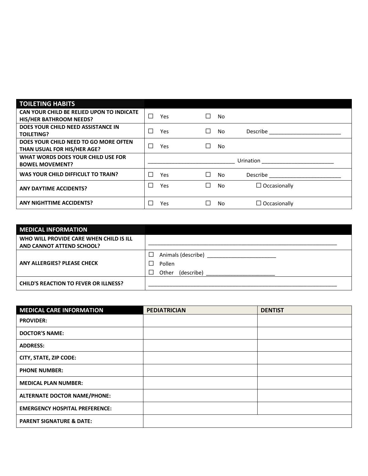| <b>TOILETING HABITS</b>                   |        |            |           |           |                                                                                                                                                                                                                                |
|-------------------------------------------|--------|------------|-----------|-----------|--------------------------------------------------------------------------------------------------------------------------------------------------------------------------------------------------------------------------------|
| CAN YOUR CHILD BE RELIED UPON TO INDICATE | $\Box$ | <b>Yes</b> | $\Box$    | No        |                                                                                                                                                                                                                                |
| <b>HIS/HER BATHROOM NEEDS?</b>            |        |            |           |           |                                                                                                                                                                                                                                |
| DOES YOUR CHILD NEED ASSISTANCE IN        | П      |            | П         | No        |                                                                                                                                                                                                                                |
| <b>TOILETING?</b>                         |        | Yes        |           |           | Describe the contract of the contract of the contract of the contract of the contract of the contract of the contract of the contract of the contract of the contract of the contract of the contract of the contract of the c |
| DOES YOUR CHILD NEED TO GO MORE OFTEN     |        |            |           |           |                                                                                                                                                                                                                                |
| THAN USUAL FOR HIS/HER AGE?               | П      | Yes        |           | <b>No</b> |                                                                                                                                                                                                                                |
| WHAT WORDS DOES YOUR CHILD USE FOR        |        |            | Urination |           |                                                                                                                                                                                                                                |
| <b>BOWEL MOVEMENT?</b>                    |        |            |           |           |                                                                                                                                                                                                                                |
| WAS YOUR CHILD DIFFICULT TO TRAIN?        |        |            |           |           |                                                                                                                                                                                                                                |
|                                           | П      | Yes        |           | No        | Describe ________________                                                                                                                                                                                                      |
| <b>ANY DAYTIME ACCIDENTS?</b>             | П      | Yes        | ┌         | <b>No</b> | $\Box$ Occasionally                                                                                                                                                                                                            |
|                                           |        |            |           |           |                                                                                                                                                                                                                                |

| <b>MEDICAL INFORMATION</b>                   |                                     |
|----------------------------------------------|-------------------------------------|
| WHO WILL PROVIDE CARE WHEN CHILD IS ILL      |                                     |
| AND CANNOT ATTEND SCHOOL?                    |                                     |
| ANY ALLERGIES? PLEASE CHECK                  | ப<br>Pollen                         |
|                                              | (describe)<br>Other<br>$\mathbf{I}$ |
| <b>CHILD'S REACTION TO FEVER OR ILLNESS?</b> |                                     |

| <b>MEDICAL CARE INFORMATION</b>       | <b>PEDIATRICIAN</b> | <b>DENTIST</b> |
|---------------------------------------|---------------------|----------------|
| <b>PROVIDER:</b>                      |                     |                |
| <b>DOCTOR'S NAME:</b>                 |                     |                |
| <b>ADDRESS:</b>                       |                     |                |
| CITY, STATE, ZIP CODE:                |                     |                |
| <b>PHONE NUMBER:</b>                  |                     |                |
| <b>MEDICAL PLAN NUMBER:</b>           |                     |                |
| <b>ALTERNATE DOCTOR NAME/PHONE:</b>   |                     |                |
| <b>EMERGENCY HOSPITAL PREFERENCE:</b> |                     |                |
| <b>PARENT SIGNATURE &amp; DATE:</b>   |                     |                |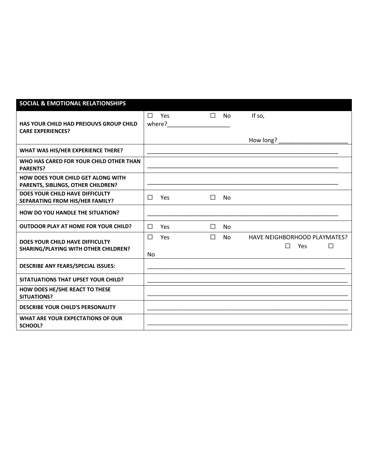| <b>SOCIAL &amp; EMOTIONAL RELATIONSHIPS</b>                                     |               |               |        |           |                                                    |
|---------------------------------------------------------------------------------|---------------|---------------|--------|-----------|----------------------------------------------------|
| HAS YOUR CHILD HAD PREIOUVS GROUP CHILD<br><b>CARE EXPERIENCES?</b>             | $\Box$        | Yes<br>where? | $\Box$ | <b>No</b> | If so,                                             |
|                                                                                 |               |               |        |           | How long?                                          |
| WHAT WAS HIS/HER EXPERIENCE THERE?                                              |               |               |        |           |                                                    |
| WHO HAS CARED FOR YOUR CHILD OTHER THAN<br><b>PARENTS?</b>                      |               |               |        |           |                                                    |
| <b>HOW DOES YOUR CHILD GET ALONG WITH</b><br>PARENTS, SIBLINGS, OTHER CHILDREN? |               |               |        |           |                                                    |
| DOES YOUR CHILD HAVE DIFFICULTY<br>SEPARATING FROM HIS/HER FAMILY?              | $\Box$        | Yes           | П      | No.       |                                                    |
| <b>HOW DO YOU HANDLE THE SITUATION?</b>                                         |               |               |        |           |                                                    |
| <b>OUTDOOR PLAY AT HOME FOR YOUR CHILD?</b>                                     | $\Box$        | Yes           | $\Box$ | No        |                                                    |
| DOES YOUR CHILD HAVE DIFFICULTY<br><b>SHARING/PLAYING WITH OTHER CHILDREN?</b>  | $\Box$<br>No. | Yes           | $\Box$ | No.       | HAVE NEIGHBORHOOD PLAYMATES?<br>П<br>Yes<br>$\Box$ |
| <b>DESCRIBE ANY FEARS/SPECIAL ISSUES:</b>                                       |               |               |        |           |                                                    |
| SITATUATIONS THAT UPSET YOUR CHILD?                                             |               |               |        |           |                                                    |
| HOW DOES HE/SHE REACT TO THESE<br><b>SITUATIONS?</b>                            |               |               |        |           |                                                    |
| <b>DESCRIBE YOUR CHILD'S PERSONALITY</b>                                        |               |               |        |           |                                                    |
| WHAT ARE YOUR EXPECTATIONS OF OUR<br>SCHOOL?                                    |               |               |        |           |                                                    |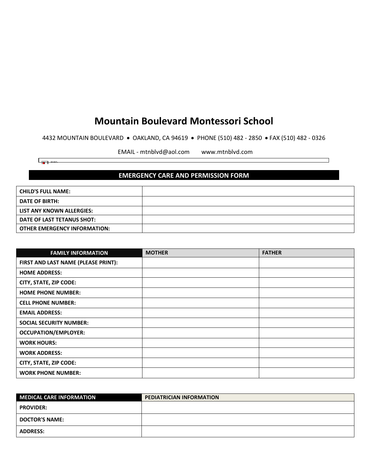4432 MOUNTAIN BOULEVARD • OAKLAND, CA 94619 • PHONE (510) 482 - 2850 • FAX (510) 482 - 0326

EMAIL - mtnblvd@aol.com www.mtnblvd.com

┑

 $\begin{array}{|c|c|c|}\n\hline\n\hline\n\end{array}$   $\begin{array}{|c|c|}\n\hline\n\end{array}$   $\begin{array}{|c|c|}\n\hline\n\end{array}$ 

# **EMERGENCY CARE AND PERMISSION FORM**

| <b>CHILD'S FULL NAME:</b>           |  |
|-------------------------------------|--|
| <b>DATE OF BIRTH:</b>               |  |
| LIST ANY KNOWN ALLERGIES:           |  |
| DATE OF LAST TETANUS SHOT:          |  |
| <b>OTHER EMERGENCY INFORMATION:</b> |  |

| <b>FAMILY INFORMATION</b>           | <b>MOTHER</b> | <b>FATHER</b> |
|-------------------------------------|---------------|---------------|
| FIRST AND LAST NAME (PLEASE PRINT): |               |               |
| <b>HOME ADDRESS:</b>                |               |               |
| CITY, STATE, ZIP CODE:              |               |               |
| <b>HOME PHONE NUMBER:</b>           |               |               |
| <b>CELL PHONE NUMBER:</b>           |               |               |
| <b>EMAIL ADDRESS:</b>               |               |               |
| <b>SOCIAL SECURITY NUMBER:</b>      |               |               |
| <b>OCCUPATION/EMPLOYER:</b>         |               |               |
| <b>WORK HOURS:</b>                  |               |               |
| <b>WORK ADDRESS:</b>                |               |               |
| <b>CITY, STATE, ZIP CODE:</b>       |               |               |
| <b>WORK PHONE NUMBER:</b>           |               |               |

| <b>MEDICAL CARE INFORMATION</b> | <b>PEDIATRICIAN INFORMATION</b> |
|---------------------------------|---------------------------------|
| <b>PROVIDER:</b>                |                                 |
| <b>DOCTOR'S NAME:</b>           |                                 |
| <b>ADDRESS:</b>                 |                                 |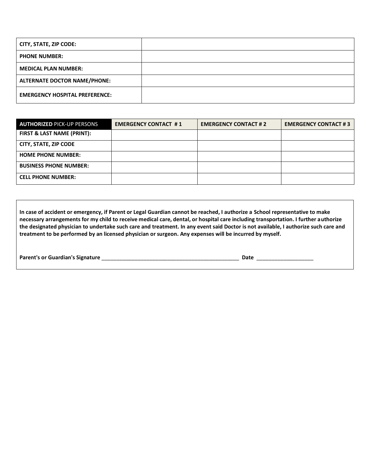| CITY, STATE, ZIP CODE:                |  |
|---------------------------------------|--|
| <b>PHONE NUMBER:</b>                  |  |
| <b>MEDICAL PLAN NUMBER:</b>           |  |
| <b>ALTERNATE DOCTOR NAME/PHONE:</b>   |  |
| <b>EMERGENCY HOSPITAL PREFERENCE:</b> |  |

| <b>AUTHORIZED PICK-UP PERSONS</b> | <b>EMERGENCY CONTACT #1</b> | <b>EMERGENCY CONTACT #2</b> | <b>EMERGENCY CONTACT #3</b> |
|-----------------------------------|-----------------------------|-----------------------------|-----------------------------|
| FIRST & LAST NAME (PRINT):        |                             |                             |                             |
| CITY, STATE, ZIP CODE             |                             |                             |                             |
| <b>HOME PHONE NUMBER:</b>         |                             |                             |                             |
| <b>BUSINESS PHONE NUMBER:</b>     |                             |                             |                             |
| <b>CELL PHONE NUMBER:</b>         |                             |                             |                             |

**In case of accident or emergency, if Parent or Legal Guardian cannot be reached, I authorize a School representative to make necessary arrangements for my child to receive medical care, dental, or hospital care including transportation. I further authorize the designated physician to undertake such care and treatment. In any event said Doctor is not available, I authorize such care and treatment to be performed by an licensed physician or surgeon. Any expenses will be incurred by myself.**

|  | Parent's or Guardian's Signature |  |
|--|----------------------------------|--|
|--|----------------------------------|--|

**Parent's or Guardian's Signature** \_\_\_\_\_\_\_\_\_\_\_\_\_\_\_\_\_\_\_\_\_\_\_\_\_\_\_\_\_\_\_\_\_\_\_\_\_\_\_\_\_\_\_\_\_\_ **Date** \_\_\_\_\_\_\_\_\_\_\_\_\_\_\_\_\_\_\_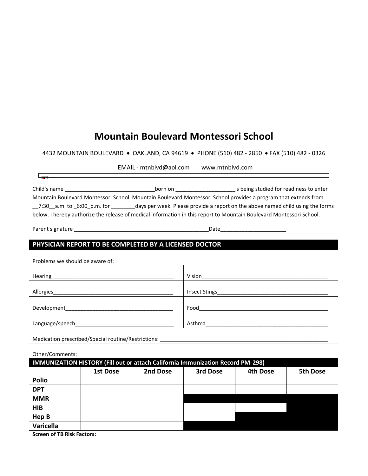4432 MOUNTAIN BOULEVARD • OAKLAND, CA 94619 • PHONE (510) 482 - 2850 • FAX (510) 482 - 0326

EMAIL - mtnblvd@aol.com www.mtnblvd.com

| Child's name<br>born on    |  | is being studied for readiness to enter                                                                              |
|----------------------------|--|----------------------------------------------------------------------------------------------------------------------|
|                            |  | Mountain Boulevard Montessori School. Mountain Boulevard Montessori School provides a program that extends from      |
| 7:30 a.m. to 6:00 p.m. for |  | days per week. Please provide a report on the above named child using the forms                                      |
|                            |  | below. I hereby authorize the release of medical information in this report to Mountain Boulevard Montessori School. |

Parent signature \_\_\_\_\_\_\_\_\_\_\_\_\_\_\_\_\_\_\_\_\_\_\_\_\_\_\_\_\_\_\_\_\_\_\_\_\_\_\_\_\_\_\_\_\_Date\_\_\_\_\_\_\_\_\_\_\_\_\_\_\_\_\_\_\_\_\_\_

 $\sqrt{2\pi^2 + 40.0622}$ 

| PHYSICIAN REPORT TO BE COMPLETED BY A LICENSED DOCTOR |          |          |                                                                                 |          |          |  |  |
|-------------------------------------------------------|----------|----------|---------------------------------------------------------------------------------|----------|----------|--|--|
|                                                       |          |          |                                                                                 |          |          |  |  |
|                                                       |          |          |                                                                                 |          |          |  |  |
|                                                       |          |          |                                                                                 |          |          |  |  |
|                                                       |          |          |                                                                                 |          |          |  |  |
|                                                       |          |          |                                                                                 |          |          |  |  |
|                                                       |          |          |                                                                                 |          |          |  |  |
|                                                       |          |          |                                                                                 |          |          |  |  |
| Other/Comments:                                       |          |          |                                                                                 |          |          |  |  |
|                                                       |          |          | IMMUNIZATION HISTORY (Fill out or attach California Immunization Record PM-298) |          |          |  |  |
|                                                       | 1st Dose | 2nd Dose | 3rd Dose                                                                        | 4th Dose | 5th Dose |  |  |
| <b>Polio</b>                                          |          |          |                                                                                 |          |          |  |  |
| <b>DPT</b>                                            |          |          |                                                                                 |          |          |  |  |
| <b>MMR</b>                                            |          |          |                                                                                 |          |          |  |  |
| <b>HIB</b>                                            |          |          |                                                                                 |          |          |  |  |
| Hep B                                                 |          |          |                                                                                 |          |          |  |  |
| Varicella                                             |          |          |                                                                                 |          |          |  |  |

**Screen of TB Risk Factors:**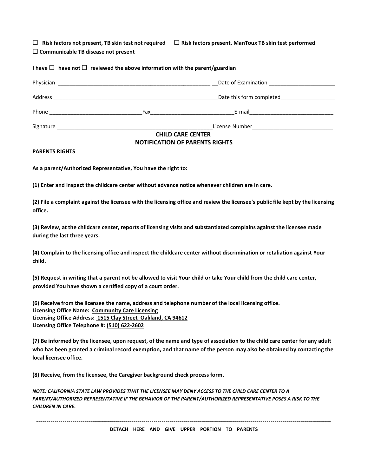☐ **Risk factors not present, TB skin test not required** ☐ **Risk factors present, ManToux TB skin test performed**

☐ **Communicable TB disease not present**

**I have** ☐ **have not** ☐ **reviewed the above information with the parent/guardian**

| Physician                                                               |                          | Date of Examination <b>Example 20</b> |  |
|-------------------------------------------------------------------------|--------------------------|---------------------------------------|--|
| Address                                                                 |                          | Date this form completed              |  |
| Phone                                                                   | Fax                      | E-mail                                |  |
| Signature<br><u> 1989 - John Stein, Amerikaansk politiker (</u> † 1920) |                          | License Number                        |  |
|                                                                         | <b>CHILD CARE CENTER</b> |                                       |  |
|                                                                         |                          | ---------------------------------     |  |

### **NOTIFICATION OF PARENTS RIGHTS**

#### **PARENTS RIGHTS**

**As a parent/Authorized Representative, You have the right to:**

**(1) Enter and inspect the childcare center without advance notice whenever children are in care.**

**(2) File a complaint against the licensee with the licensing office and review the licensee's public file kept by the licensing office.**

**(3) Review, at the childcare center, reports of licensing visits and substantiated complains against the licensee made during the last three years.** 

**(4) Complain to the licensing office and inspect the childcare center without discrimination or retaliation against Your child.**

**(5) Request in writing that a parent not be allowed to visit Your child or take Your child from the child care center, provided You have shown a certified copy of a court order.**

**(6) Receive from the licensee the name, address and telephone number of the local licensing office. Licensing Office Name: Community Care Licensing Licensing Office Address: 1515 Clay Street Oakland, CA 94612 Licensing Office Telephone #: (510) 622-2602**

**(7) Be informed by the licensee, upon request, of the name and type of association to the child care center for any adult who has been granted a criminal record exemption, and that name of the person may also be obtained by contacting the local licensee office.** 

**(8) Receive, from the licensee, the Caregiver background check process form.**

*NOTE: CALIFORNIA STATE LAW PROVIDES THAT THE LICENSEE MAY DENY ACCESS TO THE CHILD CARE CENTER TO A PARENT/AUTHORIZED REPRESENTATIVE IF THE BEHAVIOR OF THE PARENT/AUTHORIZED REPRESENTATIVE POSES A RISK TO THE CHILDREN IN CARE.* 

-------------------------------------------------------------------------------------------------------------------------------------------------- **DETACH HERE AND GIVE UPPER PORTION TO PARENTS**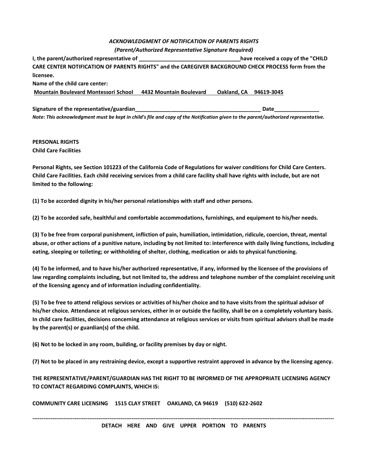### *ACKNOWLEDGMENT OF NOTIFICATION OF PARENTS RIGHTS (Parent/Authorized Representative Signature Required)*

**I, the parent/authorized representative of the set of the set of the set of the analysis of the "CHILD I, the parent of the "CHILD**  $\blacksquare$ **CARE CENTER NOTIFICATION OF PARENTS RIGHTS" and the CAREGIVER BACKGROUND CHECK PROCESS form from the licensee. Name of the child care center:**

**Mountain Boulevard Montessori School 4432 Mountain Boulevard Oakland, CA 94619-3045**

Signature of the representative/guardian **by the contract of the representative/guardian** *Note: This acknowledgment must be kept in child's file and copy of the Notification given to the parent/authorized representative.* 

#### **PERSONAL RIGHTS Child Care Facilities**

**Personal Rights, see Section 101223 of the California Code of Regulations for waiver conditions for Child Care Centers. Child Care Facilities. Each child receiving services from a child care facility shall have rights with include, but are not limited to the following:** 

**(1) To be accorded dignity in his/her personal relationships with staff and other persons.** 

**(2) To be accorded safe, healthful and comfortable accommodations, furnishings, and equipment to his/her needs.**

**(3) To be free from corporal punishment, infliction of pain, humiliation, intimidation, ridicule, coercion, threat, mental abuse, or other actions of a punitive nature, including by not limited to: interference with daily living functions, including eating, sleeping or toileting; or withholding of shelter, clothing, medication or aids to physical functioning.** 

**(4) To be informed, and to have his/her authorized representative, if any, informed by the licensee of the provisions of law regarding complaints including, but not limited to, the address and telephone number of the complaint receiving unit of the licensing agency and of information including confidentiality.** 

**(5) To be free to attend religious services or activities of his/her choice and to have visits from the spiritual advisor of his/her choice. Attendance at religious services, either in or outside the facility, shall be on a completely voluntary basis. In child care facilities, decisions concerning attendance at religious services or visits from spiritual advisors shall be made by the parent(s) or guardian(s) of the child.** 

**(6) Not to be locked in any room, building, or facility premises by day or night.**

**(7) Not to be placed in any restraining device, except a supportive restraint approved in advance by the licensing agency.** 

**THE REPRESENTATIVE/PARENT/GUARDIAN HAS THE RIGHT TO BE INFORMED OF THE APPROPRIATE LICENSING AGENCY TO CONTACT REGARDING COMPLAINTS, WHICH IS:** 

**COMMUNITY CARE LICENSING 1515 CLAY STREET OAKLAND, CA 94619 (510) 622-2602**

**-------------------------------------------------------------------------------------------------------------------------------------------------------------------- DETACH HERE AND GIVE UPPER PORTION TO PARENTS**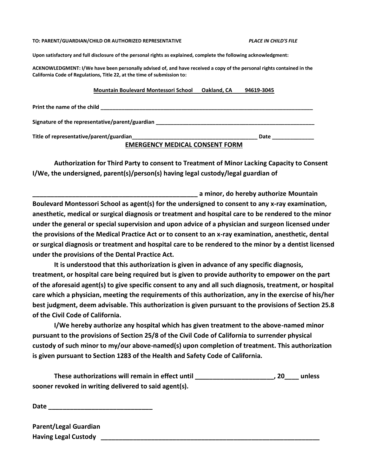#### **TO: PARENT/GUARDIAN/CHILD OR AUTHORIZED REPRESENTATIVE** *PLACE IN CHILD'S FILE*

**Upon satisfactory and full disclosure of the personal rights as explained, complete the following acknowledgment:** 

**ACKNOWLEDGMENT: I/We have been personally advised of, and have received a copy of the personal rights contained in the California Code of Regulations, Title 22, at the time of submission to:** 

#### **Mountain Boulevard Montessori School Oakland, CA 94619-3045**

| Print the name of the child                     |      |
|-------------------------------------------------|------|
| Signature of the representative/parent/guardian |      |
| Title of representative/parent/guardian         | Date |
| <b>EMERGENCY MEDICAL CONSENT FORM</b>           |      |

**Authorization for Third Party to consent to Treatment of Minor Lacking Capacity to Consent I/We, the undersigned, parent(s)/person(s) having legal custody/legal guardian of** 

**\_\_\_\_\_\_\_\_\_\_\_\_\_\_\_\_\_\_\_\_\_\_\_\_\_\_\_\_\_\_\_\_\_\_\_\_\_\_\_\_\_\_\_\_\_\_ a minor, do hereby authorize Mountain Boulevard Montessori School as agent(s) for the undersigned to consent to any x-ray examination, anesthetic, medical or surgical diagnosis or treatment and hospital care to be rendered to the minor under the general or special supervision and upon advice of a physician and surgeon licensed under the provisions of the Medical Practice Act or to consent to an x-ray examination, anesthetic, dental or surgical diagnosis or treatment and hospital care to be rendered to the minor by a dentist licensed under the provisions of the Dental Practice Act.** 

**It is understood that this authorization is given in advance of any specific diagnosis, treatment, or hospital care being required but is given to provide authority to empower on the part of the aforesaid agent(s) to give specific consent to any and all such diagnosis, treatment, or hospital care which a physician, meeting the requirements of this authorization, any in the exercise of his/her best judgment, deem advisable. This authorization is given pursuant to the provisions of Section 25.8 of the Civil Code of California.** 

**I/We hereby authorize any hospital which has given treatment to the above-named minor pursuant to the provisions of Section 25/8 of the Civil Code of California to surrender physical custody of such minor to my/our above-named(s) upon completion of treatment. This authorization is given pursuant to Section 1283 of the Health and Safety Code of California.**

**These authorizations will remain in effect until \_\_\_\_\_\_\_\_\_\_\_\_\_\_\_\_\_\_\_\_\_\_, 20\_\_\_\_ unless sooner revoked in writing delivered to said agent(s).** 

**Date \_\_\_\_\_\_\_\_\_\_\_\_\_\_\_\_\_\_\_\_\_\_\_\_\_\_\_\_\_**

| <b>Parent/Legal Guardian</b> |  |
|------------------------------|--|
| <b>Having Legal Custody</b>  |  |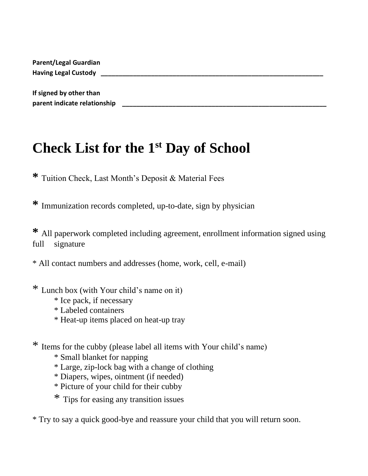| <b>Parent/Legal Guardian</b> |  |  |
|------------------------------|--|--|
| <b>Having Legal Custody</b>  |  |  |
|                              |  |  |
| If signed by other than      |  |  |
| parent indicate relationship |  |  |

# **Check List for the 1 st Day of School**

**\*** Tuition Check, Last Month's Deposit & Material Fees

**\*** Immunization records completed, up-to-date, sign by physician

**\*** All paperwork completed including agreement, enrollment information signed using full signature

\* All contact numbers and addresses (home, work, cell, e-mail)

\* Lunch box (with Your child's name on it)

- \* Ice pack, if necessary
- \* Labeled containers
- \* Heat-up items placed on heat-up tray

\* Items for the cubby (please label all items with Your child's name)

- \* Small blanket for napping
- \* Large, zip-lock bag with a change of clothing
- \* Diapers, wipes, ointment (if needed)
- \* Picture of your child for their cubby
- \* Tips for easing any transition issues

\* Try to say a quick good-bye and reassure your child that you will return soon.